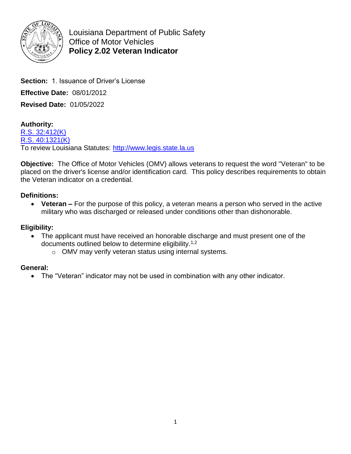

Louisiana Department of Public Safety Office of Motor Vehicles **Policy 2.02 Veteran Indicator** 

**Section:** 1. Issuance of Driver's License **Effective Date:** 08/01/2012 **Revised Date:** 01/05/2022

**Authority:** [R.S. 32:412\(K\)](http://www.legis.la.gov/Legis/Law.aspx?d=88394) [R.S. 40:1321\(K\)](http://www.legis.la.gov/Legis/Law.aspx?d=97429) To review Louisiana Statutes: [http://www.legis.state.la.us](http://www.legis.state.la.us/)

**Objective:** The Office of Motor Vehicles (OMV) allows veterans to request the word "Veteran" to be placed on the driver's license and/or identification card. This policy describes requirements to obtain the Veteran indicator on a credential.

## **Definitions:**

 **Veteran –** For the purpose of this policy, a veteran means a person who served in the active military who was discharged or released under conditions other than dishonorable.

## **Eligibility:**

- The applicant must have received an honorable discharge and must present one of the documents outlined below to determine eligibility.1,2
	- o OMV may verify veteran status using internal systems.

## **General:**

The "Veteran" indicator may not be used in combination with any other indicator.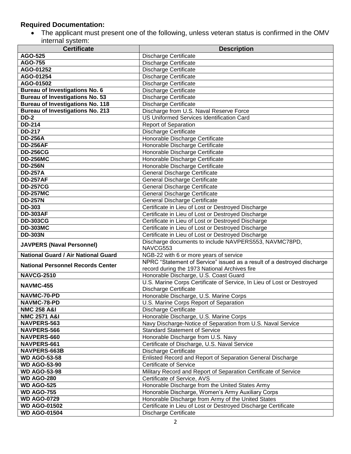### **Required Documentation:**

 The applicant must present one of the following, unless veteran status is confirmed in the OMV internal system:

| <b>Certificate</b>                                | <b>Description</b>                                                                                  |
|---------------------------------------------------|-----------------------------------------------------------------------------------------------------|
| <b>AGO-525</b>                                    | <b>Discharge Certificate</b>                                                                        |
| <b>AGO-755</b>                                    | <b>Discharge Certificate</b>                                                                        |
| AGO-01252                                         | Discharge Certificate                                                                               |
| AGO-01254                                         | <b>Discharge Certificate</b>                                                                        |
| AGO-01502                                         | <b>Discharge Certificate</b>                                                                        |
| Bureau of Investigations No. 6                    | <b>Discharge Certificate</b>                                                                        |
| <b>Bureau of Investigations No. 53</b>            | <b>Discharge Certificate</b>                                                                        |
| <b>Bureau of Investigations No. 118</b>           | <b>Discharge Certificate</b>                                                                        |
| <b>Bureau of Investigations No. 213</b>           | Discharge from U.S. Naval Reserve Force                                                             |
| <b>DD-2</b>                                       | <b>US Uniformed Services Identification Card</b>                                                    |
| <b>DD-214</b>                                     | <b>Report of Separation</b>                                                                         |
| <b>DD-217</b>                                     | <b>Discharge Certificate</b>                                                                        |
| <b>DD-256A</b>                                    | Honorable Discharge Certificate                                                                     |
| <b>DD-256AF</b>                                   | Honorable Discharge Certificate                                                                     |
| <b>DD-256CG</b>                                   | Honorable Discharge Certificate                                                                     |
| <b>DD-256MC</b>                                   | Honorable Discharge Certificate                                                                     |
| <b>DD-256N</b>                                    | Honorable Discharge Certificate                                                                     |
| <b>DD-257A</b>                                    | General Discharge Certificate                                                                       |
| <b>DD-257AF</b>                                   | General Discharge Certificate                                                                       |
| <b>DD-257CG</b>                                   | General Discharge Certificate                                                                       |
| <b>DD-257MC</b>                                   | General Discharge Certificate                                                                       |
| <b>DD-257N</b>                                    | General Discharge Certificate                                                                       |
| <b>DD-303</b>                                     | Certificate in Lieu of Lost or Destroyed Discharge                                                  |
| <b>DD-303AF</b>                                   | Certificate in Lieu of Lost or Destroyed Discharge                                                  |
| <b>DD-303CG</b>                                   | Certificate in Lieu of Lost or Destroyed Discharge                                                  |
| <b>DD-303MC</b>                                   | Certificate in Lieu of Lost or Destroyed Discharge                                                  |
| <b>DD-303N</b>                                    | Certificate in Lieu of Lost or Destroyed Discharge                                                  |
| <b>JAVPERS (Naval Personnel)</b>                  | Discharge documents to include NAVPERS553, NAVMC78PD,                                               |
|                                                   | NAVCG553                                                                                            |
| <b>National Guard / Air National Guard</b>        | NGB-22 with 6 or more years of service                                                              |
| <b>National Personnel Records Center</b>          | NPRC "Statement of Service" issued as a result of a destroyed discharge                             |
|                                                   | record during the 1973 National Archives fire                                                       |
| <b>NAVCG-2510</b>                                 | Honorable Discharge, U.S. Coast Guard                                                               |
| <b>NAVMC-455</b>                                  | U.S. Marine Corps Certificate of Service, In Lieu of Lost or Destroyed                              |
|                                                   | <b>Discharge Certificate</b>                                                                        |
| NAVMC-70-PD                                       | Honorable Discharge, U.S. Marine Corps                                                              |
| NAVMC-78-PD                                       | U.S. Marine Corps Report of Separation                                                              |
| <b>NMC 258 A&amp;I</b><br><b>NMC 2571 A&amp;I</b> | <b>Discharge Certificate</b>                                                                        |
| NAVPERS-563                                       | Honorable Discharge, U.S. Marine Corps                                                              |
| NAVPERS-566                                       | Navy Discharge-Notice of Separation from U.S. Naval Service<br><b>Standard Statement of Service</b> |
| NAVPERS-660                                       | Honorable Discharge from U.S. Navy                                                                  |
| NAVPERS-661                                       | Certificate of Discharge, U.S. Naval Service                                                        |
| NAVPERS-663B                                      | <b>Discharge Certificate</b>                                                                        |
| <b>WD AGO-53-58</b>                               | Enlisted Record and Report of Separation General Discharge                                          |
| <b>WD AGO-53-90</b>                               | <b>Certificate of Service</b>                                                                       |
| <b>WD AGO-53-98</b>                               | Military Record and Report of Separation Certificate of Service                                     |
| <b>WD AGO-280</b>                                 | Certificate of Service, AVS                                                                         |
| <b>WD AGO-525</b>                                 | Honorable Discharge from the United States Army                                                     |
| <b>WD AGO-755</b>                                 | Honorable Discharge, Women's Army Auxiliary Corps                                                   |
| <b>WD AGO-0729</b>                                | Honorable Discharge from Army of the United States                                                  |
| <b>WD AGO-01502</b>                               | Certificate in Lieu of Lost or Destroyed Discharge Certificate                                      |
| <b>WD AGO-01504</b>                               | <b>Discharge Certificate</b>                                                                        |
|                                                   |                                                                                                     |